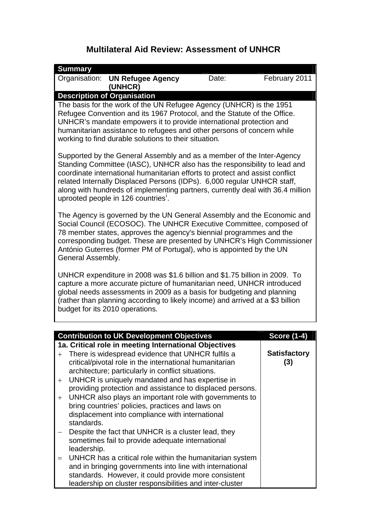## **Multilateral Aid Review: Assessment of UNHCR**

|                                                                                                                                                                                                                                                                                                                                                                                                                                     | <b>Summary</b> |                                                                                                                                                                                                                                                                                                                                                                                                                                                                                                            |       |                            |
|-------------------------------------------------------------------------------------------------------------------------------------------------------------------------------------------------------------------------------------------------------------------------------------------------------------------------------------------------------------------------------------------------------------------------------------|----------------|------------------------------------------------------------------------------------------------------------------------------------------------------------------------------------------------------------------------------------------------------------------------------------------------------------------------------------------------------------------------------------------------------------------------------------------------------------------------------------------------------------|-------|----------------------------|
|                                                                                                                                                                                                                                                                                                                                                                                                                                     |                | Organisation: UN Refugee Agency<br>(UNHCR)                                                                                                                                                                                                                                                                                                                                                                                                                                                                 | Date: | February 2011              |
|                                                                                                                                                                                                                                                                                                                                                                                                                                     |                | <b>Description of Organisation</b>                                                                                                                                                                                                                                                                                                                                                                                                                                                                         |       |                            |
| The basis for the work of the UN Refugee Agency (UNHCR) is the 1951<br>Refugee Convention and its 1967 Protocol, and the Statute of the Office.<br>UNHCR's mandate empowers it to provide international protection and<br>humanitarian assistance to refugees and other persons of concern while<br>working to find durable solutions to their situation.                                                                           |                |                                                                                                                                                                                                                                                                                                                                                                                                                                                                                                            |       |                            |
| Supported by the General Assembly and as a member of the Inter-Agency<br>Standing Committee (IASC), UNHCR also has the responsibility to lead and<br>coordinate international humanitarian efforts to protect and assist conflict<br>related Internally Displaced Persons (IDPs). 6,000 regular UNHCR staff,<br>along with hundreds of implementing partners, currently deal with 36.4 million<br>uprooted people in 126 countries. |                |                                                                                                                                                                                                                                                                                                                                                                                                                                                                                                            |       |                            |
| The Agency is governed by the UN General Assembly and the Economic and<br>Social Council (ECOSOC). The UNHCR Executive Committee, composed of<br>78 member states, approves the agency's biennial programmes and the<br>corresponding budget. These are presented by UNHCR's High Commissioner<br>António Guterres (former PM of Portugal), who is appointed by the UN<br>General Assembly.                                         |                |                                                                                                                                                                                                                                                                                                                                                                                                                                                                                                            |       |                            |
| UNHCR expenditure in 2008 was \$1.6 billion and \$1.75 billion in 2009. To<br>capture a more accurate picture of humanitarian need, UNHCR introduced<br>global needs assessments in 2009 as a basis for budgeting and planning<br>(rather than planning according to likely income) and arrived at a \$3 billion<br>budget for its 2010 operations.                                                                                 |                |                                                                                                                                                                                                                                                                                                                                                                                                                                                                                                            |       |                            |
|                                                                                                                                                                                                                                                                                                                                                                                                                                     |                | <b>Contribution to UK Development Objectives</b>                                                                                                                                                                                                                                                                                                                                                                                                                                                           |       | <b>Score (1-4)</b>         |
|                                                                                                                                                                                                                                                                                                                                                                                                                                     |                | 1a. Critical role in meeting International Objectives                                                                                                                                                                                                                                                                                                                                                                                                                                                      |       |                            |
| $+$<br>$^{+}$<br>$^{+}$                                                                                                                                                                                                                                                                                                                                                                                                             | standards.     | There is widespread evidence that UNHCR fulfils a<br>critical/pivotal role in the international humanitarian<br>architecture; particularly in conflict situations.<br>UNHCR is uniquely mandated and has expertise in<br>providing protection and assistance to displaced persons.<br>UNHCR also plays an important role with governments to<br>bring countries' policies, practices and laws on<br>displacement into compliance with international<br>Despite the fact that UNHCR is a cluster lead, they |       | <b>Satisfactory</b><br>(3) |
| $=$                                                                                                                                                                                                                                                                                                                                                                                                                                 | leadership.    | sometimes fail to provide adequate international<br>UNHCR has a critical role within the humanitarian system<br>and in bringing governments into line with international<br>standards. However, it could provide more consistent<br>leadership on cluster responsibilities and inter-cluster                                                                                                                                                                                                               |       |                            |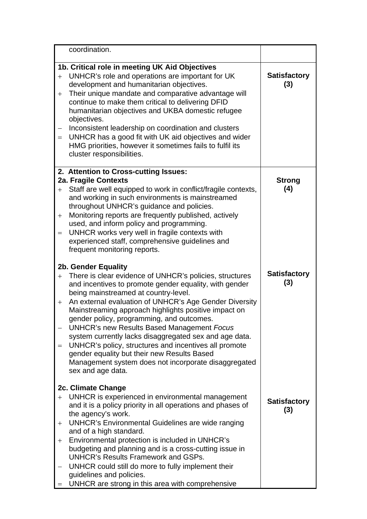|                        | coordination.                                                                                                                                                                                                                                                                                                                                                                                                                                                                                                                                                                                                                                       |                            |
|------------------------|-----------------------------------------------------------------------------------------------------------------------------------------------------------------------------------------------------------------------------------------------------------------------------------------------------------------------------------------------------------------------------------------------------------------------------------------------------------------------------------------------------------------------------------------------------------------------------------------------------------------------------------------------------|----------------------------|
| $+$<br>$+$<br>$=$      | 1b. Critical role in meeting UK Aid Objectives<br>UNHCR's role and operations are important for UK<br>development and humanitarian objectives.<br>Their unique mandate and comparative advantage will<br>continue to make them critical to delivering DFID<br>humanitarian objectives and UKBA domestic refugee<br>objectives.<br>Inconsistent leadership on coordination and clusters<br>UNHCR has a good fit with UK aid objectives and wider<br>HMG priorities, however it sometimes fails to fulfil its<br>cluster responsibilities.                                                                                                            | <b>Satisfactory</b><br>(3) |
| $+$<br>$^{+}$<br>$=$   | 2. Attention to Cross-cutting Issues:<br>2a. Fragile Contexts<br>Staff are well equipped to work in conflict/fragile contexts,<br>and working in such environments is mainstreamed<br>throughout UNHCR's guidance and policies.<br>Monitoring reports are frequently published, actively<br>used, and inform policy and programming.<br>UNHCR works very well in fragile contexts with<br>experienced staff, comprehensive guidelines and<br>frequent monitoring reports.                                                                                                                                                                           | <b>Strong</b><br>(4)       |
| $+$<br>$+$<br>$=$      | 2b. Gender Equality<br>There is clear evidence of UNHCR's policies, structures<br>and incentives to promote gender equality, with gender<br>being mainstreamed at country-level.<br>An external evaluation of UNHCR's Age Gender Diversity<br>Mainstreaming approach highlights positive impact on<br>gender policy, programming, and outcomes.<br><b>UNHCR's new Results Based Management Focus</b><br>system currently lacks disaggregated sex and age data.<br>UNHCR's policy, structures and incentives all promote<br>gender equality but their new Results Based<br>Management system does not incorporate disaggregated<br>sex and age data. | <b>Satisfactory</b><br>(3) |
| $+$<br>$\pm$<br>$^{+}$ | 2c. Climate Change<br>UNHCR is experienced in environmental management<br>and it is a policy priority in all operations and phases of<br>the agency's work.<br><b>UNHCR's Environmental Guidelines are wide ranging</b><br>and of a high standard.<br>Environmental protection is included in UNHCR's<br>budgeting and planning and is a cross-cutting issue in<br><b>UNHCR's Results Framework and GSPs.</b><br>UNHCR could still do more to fully implement their<br>guidelines and policies.<br>UNHCR are strong in this area with comprehensive                                                                                                 | <b>Satisfactory</b><br>(3) |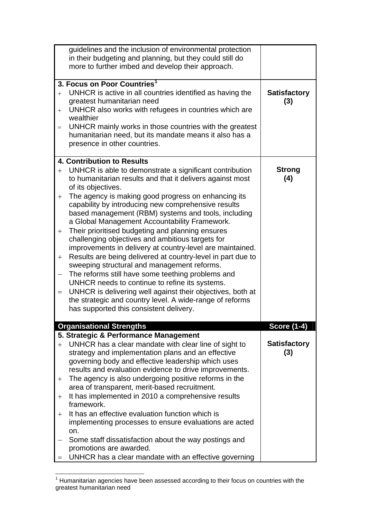|                                 | guidelines and the inclusion of environmental protection<br>in their budgeting and planning, but they could still do<br>more to further imbed and develop their approach.                                                                                                                                                                                                                                                                                                                                                                                                                                                                                                                                                                                                                                                                                                                                                                                     |                            |
|---------------------------------|---------------------------------------------------------------------------------------------------------------------------------------------------------------------------------------------------------------------------------------------------------------------------------------------------------------------------------------------------------------------------------------------------------------------------------------------------------------------------------------------------------------------------------------------------------------------------------------------------------------------------------------------------------------------------------------------------------------------------------------------------------------------------------------------------------------------------------------------------------------------------------------------------------------------------------------------------------------|----------------------------|
| $^{+}$<br>$^{+}$<br>$=$         | 3. Focus on Poor Countries <sup>1</sup><br>UNHCR is active in all countries identified as having the<br>greatest humanitarian need<br>UNHCR also works with refugees in countries which are<br>wealthier<br>UNHCR mainly works in those countries with the greatest<br>humanitarian need, but its mandate means it also has a<br>presence in other countries.                                                                                                                                                                                                                                                                                                                                                                                                                                                                                                                                                                                                 | <b>Satisfactory</b><br>(3) |
| $+$<br>$+$<br>$+$<br>$+$<br>$=$ | 4. Contribution to Results<br>UNHCR is able to demonstrate a significant contribution<br>to humanitarian results and that it delivers against most<br>of its objectives.<br>The agency is making good progress on enhancing its<br>capability by introducing new comprehensive results<br>based management (RBM) systems and tools, including<br>a Global Management Accountability Framework.<br>Their prioritised budgeting and planning ensures<br>challenging objectives and ambitious targets for<br>improvements in delivery at country-level are maintained.<br>Results are being delivered at country-level in part due to<br>sweeping structural and management reforms.<br>The reforms still have some teething problems and<br>UNHCR needs to continue to refine its systems.<br>UNHCR is delivering well against their objectives, both at<br>the strategic and country level. A wide-range of reforms<br>has supported this consistent delivery. | <b>Strong</b><br>(4)       |
|                                 | <b>Organisational Strengths</b>                                                                                                                                                                                                                                                                                                                                                                                                                                                                                                                                                                                                                                                                                                                                                                                                                                                                                                                               | <b>Score (1-4)</b>         |
| $^{+}$<br>$^+$<br>$+$<br>$^{+}$ | 5. Strategic & Performance Management<br>UNHCR has a clear mandate with clear line of sight to<br>strategy and implementation plans and an effective<br>governing body and effective leadership which uses<br>results and evaluation evidence to drive improvements.<br>The agency is also undergoing positive reforms in the<br>area of transparent, merit-based recruitment.<br>It has implemented in 2010 a comprehensive results<br>framework.<br>It has an effective evaluation function which is<br>implementing processes to ensure evaluations are acted<br>on.<br>Some staff dissatisfaction about the way postings and<br>promotions are awarded.<br>UNHCR has a clear mandate with an effective governing                                                                                                                                                                                                                                          | <b>Satisfactory</b><br>(3) |

<span id="page-2-0"></span> 1 Humanitarian agencies have been assessed according to their focus on countries with the greatest humanitarian need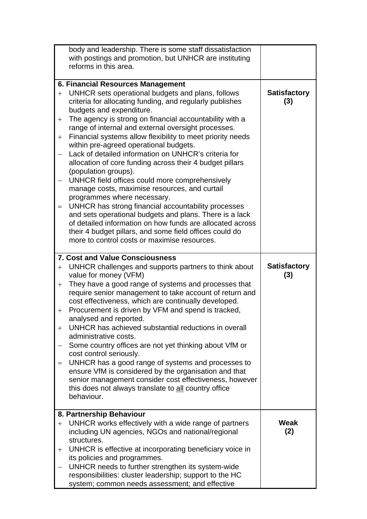|                                       | body and leadership. There is some staff dissatisfaction<br>with postings and promotion, but UNHCR are instituting<br>reforms in this area.                                                                                                                                                                                                                                                                                                                                                                                                                                                                                                                                                                                                                                                                                                                                                                                                                                      |                            |
|---------------------------------------|----------------------------------------------------------------------------------------------------------------------------------------------------------------------------------------------------------------------------------------------------------------------------------------------------------------------------------------------------------------------------------------------------------------------------------------------------------------------------------------------------------------------------------------------------------------------------------------------------------------------------------------------------------------------------------------------------------------------------------------------------------------------------------------------------------------------------------------------------------------------------------------------------------------------------------------------------------------------------------|----------------------------|
| $+$<br>$^{+}$<br>$+$<br>$=$           | 6. Financial Resources Management<br>UNHCR sets operational budgets and plans, follows<br>criteria for allocating funding, and regularly publishes<br>budgets and expenditure.<br>The agency is strong on financial accountability with a<br>range of internal and external oversight processes.<br>Financial systems allow flexibility to meet priority needs<br>within pre-agreed operational budgets.<br>Lack of detailed information on UNHCR's criteria for<br>allocation of core funding across their 4 budget pillars<br>(population groups).<br>UNHCR field offices could more comprehensively<br>manage costs, maximise resources, and curtail<br>programmes where necessary.<br>UNHCR has strong financial accountability processes<br>and sets operational budgets and plans. There is a lack<br>of detailed information on how funds are allocated across<br>their 4 budget pillars, and some field offices could do<br>more to control costs or maximise resources. | <b>Satisfactory</b><br>(3) |
| $^{+}$<br>$+$<br>$^{+}$<br>$+$<br>$=$ | <b>7. Cost and Value Consciousness</b><br>UNHCR challenges and supports partners to think about<br>value for money (VFM)<br>They have a good range of systems and processes that<br>require senior management to take account of return and<br>cost effectiveness, which are continually developed.<br>Procurement is driven by VFM and spend is tracked,<br>analysed and reported.<br>UNHCR has achieved substantial reductions in overall<br>administrative costs.<br>Some country offices are not yet thinking about VfM or<br>cost control seriously.<br>UNHCR has a good range of systems and processes to<br>ensure VfM is considered by the organisation and that<br>senior management consider cost effectiveness, however<br>this does not always translate to all country office<br>behaviour.                                                                                                                                                                         | <b>Satisfactory</b><br>(3) |
| $+$<br>$^{+}$                         | 8. Partnership Behaviour<br>UNHCR works effectively with a wide range of partners<br>including UN agencies, NGOs and national/regional<br>structures.<br>UNHCR is effective at incorporating beneficiary voice in<br>its policies and programmes.<br>UNHCR needs to further strengthen its system-wide<br>responsibilities: cluster leadership; support to the HC<br>system; common needs assessment; and effective                                                                                                                                                                                                                                                                                                                                                                                                                                                                                                                                                              | Weak<br>(2)                |